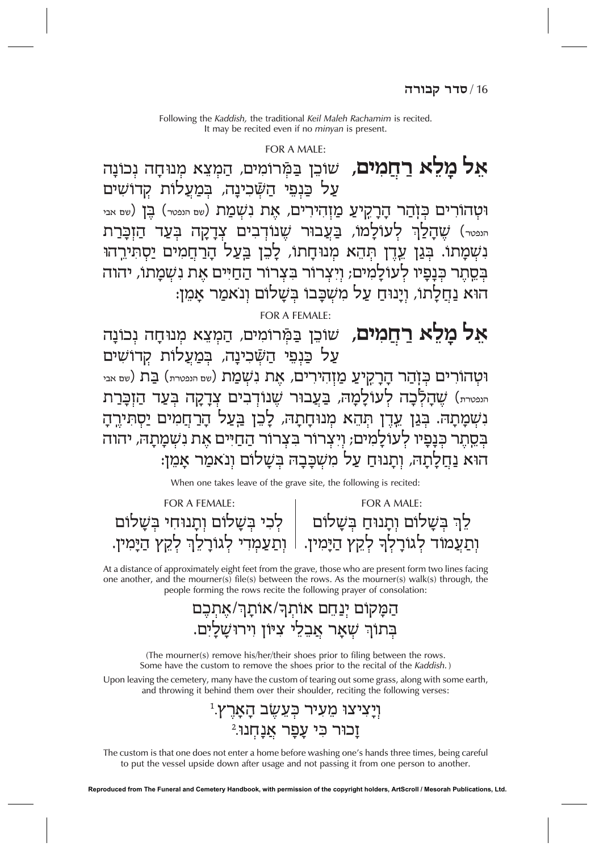### $FOR A MAIF$

**אל מלא רחמים,** שוכן במרומים, המצא מנוחה נכונה עַל כַּנְפֵי הַשַּׁכִינַה, בִּמַעֲלוֹת קדושים וְטָהוֹרִים כִּוְהַר הָרָקִיעַ מַוְהִירִים, אֵת נִשְׁמַת (שם הנפטר) בֵּן (שם אבי <sub>יייטי</sub>) שַהַלַךְ לְעוֹלַמוֹ, בַּעֲבוּר שֶׁנוֹדְבִים צִדָקָה בִּעַד הַזְבָּרַת נשמתו. בְּגַן עֶרֶן תְּהֶא מְנוּחַתוֹ, לַכֵּן בַּעֲל הַרַחֲמִים יַסתּירהוּ בְּסֱתֶר כְּנַפֵּיו לְעוֹלַמִים; וַיִצְרוֹר בְּצְרוֹר הַחַיִּים אֶת נְשָׁמַתוֹ, יהוה הוא נַחֲלַתוֹ, ויַנוּחַ עַל מִשְׁכֵּבוֹ בִּשַׁלוֹם וְנאמַר אַמֵן:

FOR A FEMALE:

**אַל מַלֵא רַחֲמִים,** שוֹכֵן בַּמְּרוֹמִים, הַמְצֵא מְנוּחָה נְכוֹנָה על כּנפי הַשַּׁכִינַה, בִּמַעֲלוֹת קִדוֹשִים וּטָהוֹרִים כִּזְהַר הָרָקִיעַ מַזְהִירִים, אֵת נִשְׁמַת (שם הנפטרת) בַּת (שם אבי <sub>יייטית</sub>) שֶׁהַלְכָה לְעוֹלַמַה, בַּעֲבוּר שֶׁנוֹדְבִים צְדַקָה בְּעַד הַזְכֵּרַת נשמתה. בגן עדן תהא מנוחתה, לכן בעל הרחמים יסתירה בסתר כִּנַפִּיו לְעוֹלַמִים; וַיִּצְרוֹר בִּצְרוֹר הַחַיִּים אֶת נִשְׁמַתָה, יהוה הוא נַחֲלְתָה, וְתָנוּחַ עַל מִשְׁכַּבַה בִּשַׁלוֹם ונאמר אמז:

When one takes leave of the grave site, the following is recited:

| FOR A FEMALE:                         | FOR A MAIF:                                                                        |
|---------------------------------------|------------------------------------------------------------------------------------|
| לְכִי בְשָׁלוֹם וְתָנוּחִי בְּשָׁלוֹם | לֵךְ בְּשָׁלוֹם וְתָנוּחַ בְּשָׁלוֹם                                               |
|                                       | וְתַעֲמוֹד לְגוֹרָלְךָ לְקֵץ הַיָּמִין. l וְתַעַמְדִי לְגוֹרָלֵךְ לְקֵץ הַיָּמִין. |

At a distance of approximately eight feet from the grave, those who are present form two lines facing one another, and the mourner(s) file(s) between the rows. As the mourner(s) walk(s) through, the people forming the rows recite the following prayer of consolation:

# הַמַקוֹם יִנַחֵם אוֹתְרֹ/אוֹתַךְ/אִתְכֶם בתור שאר אבלי ציון וירושלים.

(The mourner(s) remove his/her/their shoes prior to filing between the rows. Some have the custom to remove the shoes prior to the recital of the Kaddish.)

Upon leaving the cemetery, many have the custom of tearing out some grass, along with some earth, and throwing it behind them over their shoulder, reciting the following verses:

# ויַציצו מעיר כעשב הארץ. וכור כי עפר אנחנו.<sup>2</sup>

The custom is that one does not enter a home before washing one's hands three times, being careful to put the vessel upside down after usage and not passing it from one person to another.